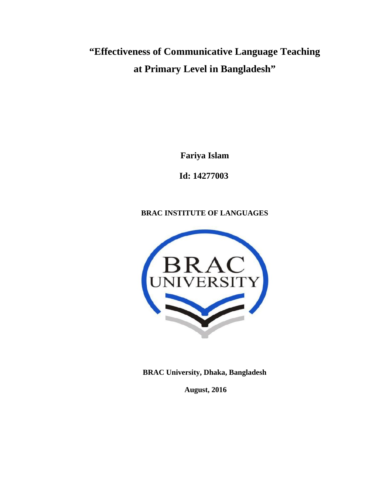**"Effectiveness of Communicative Language Teaching at Primary Level in Bangladesh"**

**Fariya Islam**

**Id: 14277003**

**BRAC INSTITUTE OF LANGUAGES**



**BRAC University, Dhaka, Bangladesh**

**August, 2016**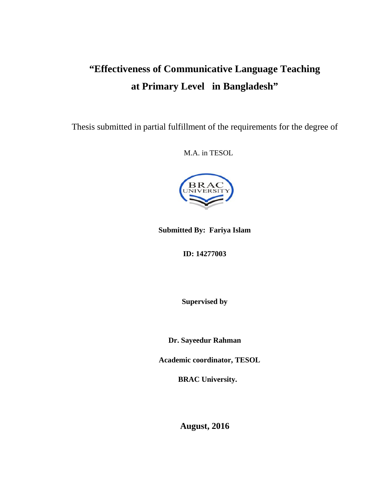# **"Effectiveness of Communicative Language Teaching at Primary Level in Bangladesh"**

Thesis submitted in partial fulfillment of the requirements for the degree of

M.A. in TESOL



# **Submitted By: Fariya Islam**

**ID: 14277003**

**Supervised by**

**Dr. Sayeedur Rahman**

**Academic coordinator, TESOL**

**BRAC University.**

**August, 2016**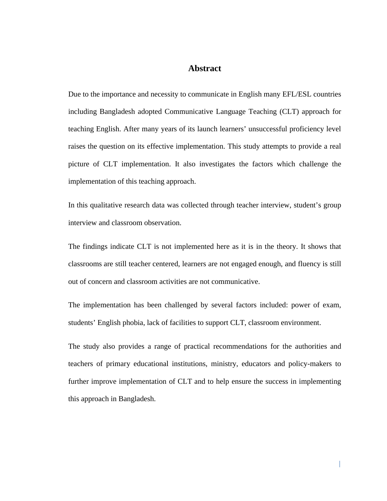# **Abstract**

Due to the importance and necessity to communicate in English many EFL/ESL countries including Bangladesh adopted Communicative Language Teaching (CLT) approach for teaching English. After many years of its launch learners' unsuccessful proficiency level raises the question on its effective implementation. This study attempts to provide a real picture of CLT implementation. It also investigates the factors which challenge the implementation of this teaching approach.

In this qualitative research data was collected through teacher interview, student's group interview and classroom observation.

The findings indicate CLT is not implemented here as it is in the theory. It shows that classrooms are still teacher centered, learners are not engaged enough, and fluency is still out of concern and classroom activities are not communicative.

The implementation has been challenged by several factors included: power of exam, students' English phobia, lack of facilities to support CLT, classroom environment.

The study also provides a range of practical recommendations for the authorities and teachers of primary educational institutions, ministry, educators and policy-makers to further improve implementation of CLT and to help ensure the success in implementing this approach in Bangladesh.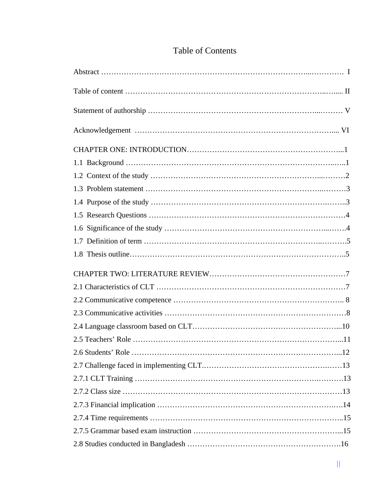# Table of Contents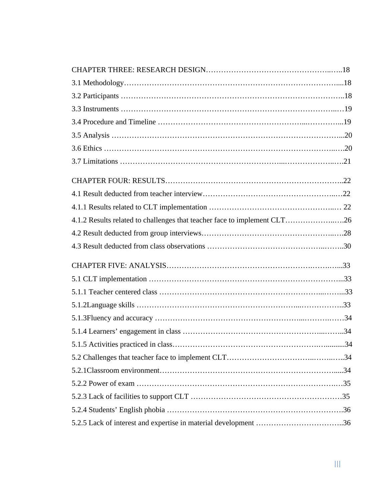| 4.1.2 Results related to challenges that teacher face to implement CLT26 |  |
|--------------------------------------------------------------------------|--|
|                                                                          |  |
|                                                                          |  |
|                                                                          |  |
|                                                                          |  |
|                                                                          |  |
|                                                                          |  |
|                                                                          |  |
|                                                                          |  |
|                                                                          |  |
|                                                                          |  |
|                                                                          |  |
|                                                                          |  |
|                                                                          |  |
|                                                                          |  |
|                                                                          |  |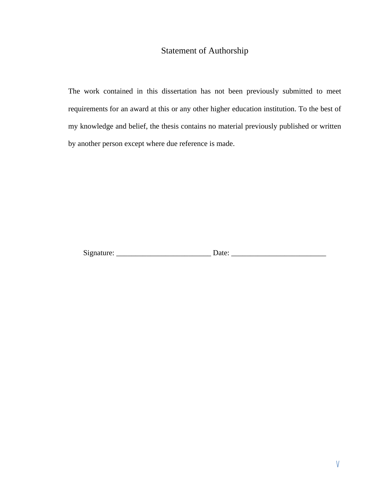# Statement of Authorship

The work contained in this dissertation has not been previously submitted to meet requirements for an award at this or any other higher education institution. To the best of my knowledge and belief, the thesis contains no material previously published or written by another person except where due reference is made.

Signature: \_\_\_\_\_\_\_\_\_\_\_\_\_\_\_\_\_\_\_\_\_\_\_\_\_ Date: \_\_\_\_\_\_\_\_\_\_\_\_\_\_\_\_\_\_\_\_\_\_\_\_\_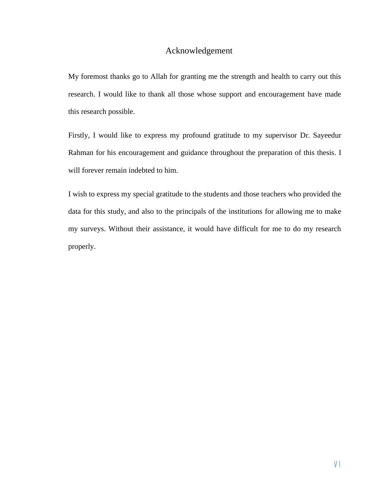# Acknowledgement

My foremost thanks go to Allah for granting me the strength and health to carry out this research. I would like to thank all those whose support and encouragement have made this research possible.

Firstly, I would like to express my profound gratitude to my supervisor Dr. Sayeedur Rahman for his encouragement and guidance throughout the preparation of this thesis. I will forever remain indebted to him.

I wish to express my special gratitude to the students and those teachers who provided the data for this study, and also to the principals of the institutions for allowing me to make my surveys. Without their assistance, it would have difficult for me to do my research properly.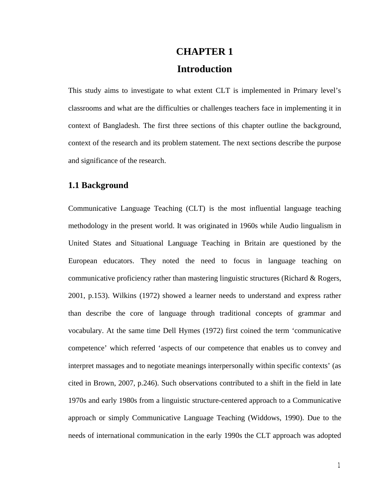# **CHAPTER 1 Introduction**

This study aims to investigate to what extent CLT is implemented in Primary level's classrooms and what are the difficulties or challenges teachers face in implementing it in context of Bangladesh. The first three sections of this chapter outline the background, context of the research and its problem statement. The next sections describe the purpose and significance of the research.

# **1.1 Background**

Communicative Language Teaching (CLT) is the most influential language teaching methodology in the present world. It was originated in 1960s while Audio lingualism in United States and Situational Language Teaching in Britain are questioned by the European educators. They noted the need to focus in language teaching on communicative proficiency rather than mastering linguistic structures (Richard & Rogers, 2001, p.153). Wilkins (1972) showed a learner needs to understand and express rather than describe the core of language through traditional concepts of grammar and vocabulary. At the same time Dell Hymes (1972) first coined the term 'communicative competence' which referred 'aspects of our competence that enables us to convey and interpret massages and to negotiate meanings interpersonally within specific contexts' (as cited in Brown, 2007, p.246). Such observations contributed to a shift in the field in late 1970s and early 1980s from a linguistic structure-centered approach to a Communicative approach or simply Communicative Language Teaching (Widdows, 1990). Due to the needs of international communication in the early 1990s the CLT approach was adopted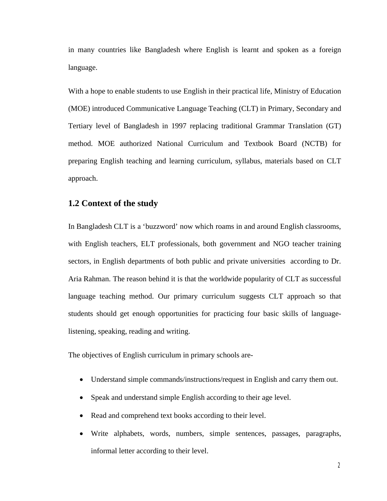in many countries like Bangladesh where English is learnt and spoken as a foreign language.

With a hope to enable students to use English in their practical life, Ministry of Education (MOE) introduced Communicative Language Teaching (CLT) in Primary, Secondary and Tertiary level of Bangladesh in 1997 replacing traditional Grammar Translation (GT) method. MOE authorized National Curriculum and Textbook Board (NCTB) for preparing English teaching and learning curriculum, syllabus, materials based on CLT approach.

## **1.2 Context of the study**

In Bangladesh CLT is a 'buzzword' now which roams in and around English classrooms, with English teachers, ELT professionals, both government and NGO teacher training sectors, in English departments of both public and private universities according to Dr. Aria Rahman. The reason behind it is that the worldwide popularity of CLT as successful language teaching method. Our primary curriculum suggests CLT approach so that students should get enough opportunities for practicing four basic skills of languagelistening, speaking, reading and writing.

The objectives of English curriculum in primary schools are-

- Understand simple commands/instructions/request in English and carry them out.
- Speak and understand simple English according to their age level.
- Read and comprehend text books according to their level.
- Write alphabets, words, numbers, simple sentences, passages, paragraphs, informal letter according to their level.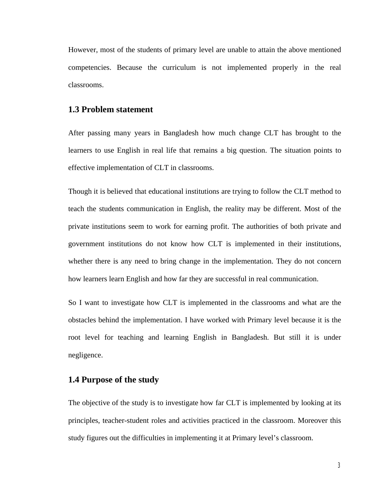However, most of the students of primary level are unable to attain the above mentioned competencies. Because the curriculum is not implemented properly in the real classrooms.

# **1.3 Problem statement**

After passing many years in Bangladesh how much change CLT has brought to the learners to use English in real life that remains a big question. The situation points to effective implementation of CLT in classrooms.

Though it is believed that educational institutions are trying to follow the CLT method to teach the students communication in English, the reality may be different. Most of the private institutions seem to work for earning profit. The authorities of both private and government institutions do not know how CLT is implemented in their institutions, whether there is any need to bring change in the implementation. They do not concern how learners learn English and how far they are successful in real communication.

So I want to investigate how CLT is implemented in the classrooms and what are the obstacles behind the implementation. I have worked with Primary level because it is the root level for teaching and learning English in Bangladesh. But still it is under negligence.

### **1.4 Purpose of the study**

The objective of the study is to investigate how far CLT is implemented by looking at its principles, teacher-student roles and activities practiced in the classroom. Moreover this study figures out the difficulties in implementing it at Primary level's classroom.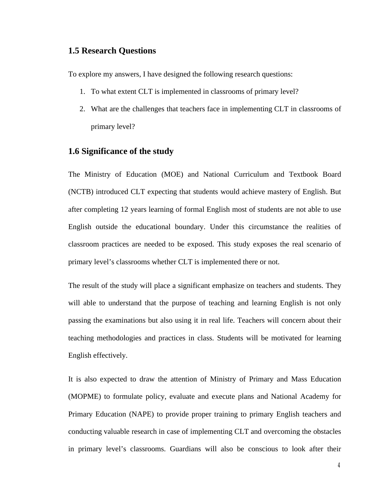#### **1.5 Research Questions**

To explore my answers, I have designed the following research questions:

- 1. To what extent CLT is implemented in classrooms of primary level?
- 2. What are the challenges that teachers face in implementing CLT in classrooms of primary level?

# **1.6 Significance of the study**

The Ministry of Education (MOE) and National Curriculum and Textbook Board (NCTB) introduced CLT expecting that students would achieve mastery of English. But after completing 12 years learning of formal English most of students are not able to use English outside the educational boundary. Under this circumstance the realities of classroom practices are needed to be exposed. This study exposes the real scenario of primary level's classrooms whether CLT is implemented there or not.

The result of the study will place a significant emphasize on teachers and students. They will able to understand that the purpose of teaching and learning English is not only passing the examinations but also using it in real life. Teachers will concern about their teaching methodologies and practices in class. Students will be motivated for learning English effectively.

It is also expected to draw the attention of Ministry of Primary and Mass Education (MOPME) to formulate policy, evaluate and execute plans and National Academy for Primary Education (NAPE) to provide proper training to primary English teachers and conducting valuable research in case of implementing CLT and overcoming the obstacles in primary level's classrooms. Guardians will also be conscious to look after their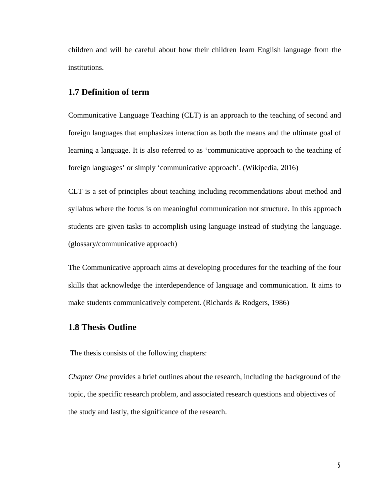children and will be careful about how their children learn English language from the institutions.

# **1.7 Definition of term**

Communicative Language Teaching (CLT) is an approach to the teaching of second and foreign languages that emphasizes interaction as both the means and the ultimate goal of learning a language. It is also referred to as 'communicative approach to the teaching of foreign languages' or simply 'communicative approach'. (Wikipedia, 2016)

CLT is a set of principles about teaching including recommendations about method and syllabus where the focus is on meaningful communication not structure. In this approach students are given tasks to accomplish using language instead of studying the language. (glossary/communicative approach)

The Communicative approach aims at developing procedures for the teaching of the four skills that acknowledge the interdependence of language and communication. It aims to make students communicatively competent. (Richards & Rodgers, 1986)

## **1.8 Thesis Outline**

The thesis consists of the following chapters:

*Chapter One* provides a brief outlines about the research, including the background of the topic, the specific research problem, and associated research questions and objectives of the study and lastly, the significance of the research.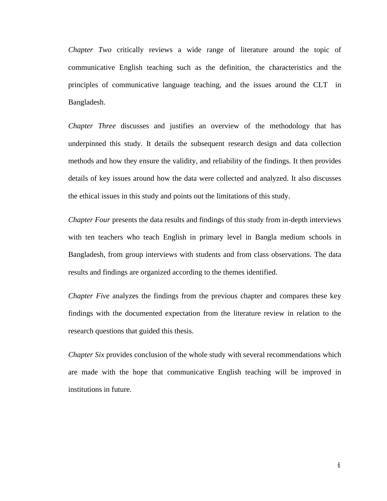*Chapter Two* critically reviews a wide range of literature around the topic of communicative English teaching such as the definition, the characteristics and the principles of communicative language teaching, and the issues around the CLT in Bangladesh.

*Chapter Three* discusses and justifies an overview of the methodology that has underpinned this study. It details the subsequent research design and data collection methods and how they ensure the validity, and reliability of the findings. It then provides details of key issues around how the data were collected and analyzed. It also discusses the ethical issues in this study and points out the limitations of this study.

*Chapter Four* presents the data results and findings of this study from in-depth interviews with ten teachers who teach English in primary level in Bangla medium schools in Bangladesh, from group interviews with students and from class observations. The data results and findings are organized according to the themes identified.

*Chapter Five* analyzes the findings from the previous chapter and compares these key findings with the documented expectation from the literature review in relation to the research questions that guided this thesis.

*Chapter Six* provides conclusion of the whole study with several recommendations which are made with the hope that communicative English teaching will be improved in institutions in future.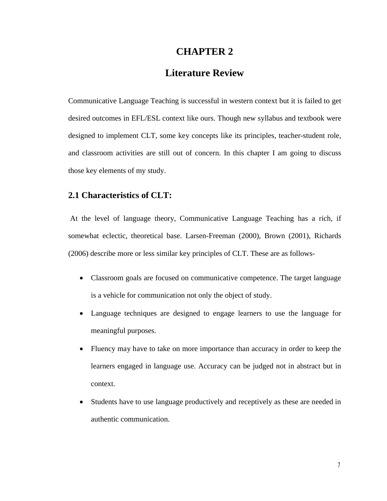# **CHAPTER 2**

# **Literature Review**

Communicative Language Teaching is successful in western context but it is failed to get desired outcomes in EFL/ESL context like ours. Though new syllabus and textbook were designed to implement CLT, some key concepts like its principles, teacher-student role, and classroom activities are still out of concern. In this chapter I am going to discuss those key elements of my study.

## **2.1 Characteristics of CLT:**

At the level of language theory, Communicative Language Teaching has a rich, if somewhat eclectic, theoretical base. Larsen-Freeman (2000), Brown (2001), Richards (2006) describe more or less similar key principles of CLT. These are as follows-

- Classroom goals are focused on communicative competence. The target language is a vehicle for communication not only the object of study.
- Language techniques are designed to engage learners to use the language for meaningful purposes.
- Fluency may have to take on more importance than accuracy in order to keep the learners engaged in language use. Accuracy can be judged not in abstract but in context.
- Students have to use language productively and receptively as these are needed in authentic communication.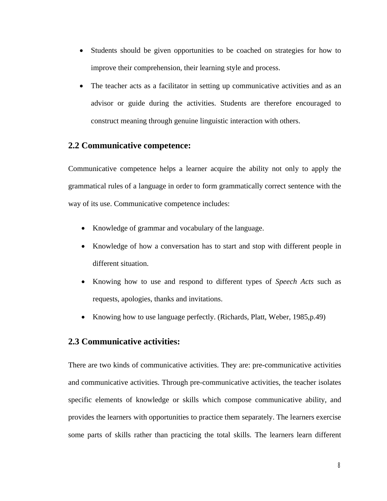- Students should be given opportunities to be coached on strategies for how to improve their comprehension, their learning style and process.
- The teacher acts as a facilitator in setting up communicative activities and as an advisor or guide during the activities. Students are therefore encouraged to construct meaning through genuine linguistic interaction with others.

## **2.2 Communicative competence:**

Communicative competence helps a learner acquire the ability not only to apply the grammatical rules of a language in order to form grammatically correct sentence with the way of its use. Communicative competence includes:

- Knowledge of grammar and vocabulary of the language.
- Knowledge of how a conversation has to start and stop with different people in different situation.
- ∑ Knowing how to use and respond to different types of *Speech Acts* such as requests, apologies, thanks and invitations.
- ∑ Knowing how to use language perfectly. (Richards, Platt, Weber, 1985,p.49)

## **2.3 Communicative activities:**

There are two kinds of communicative activities. They are: pre-communicative activities and communicative activities. Through pre-communicative activities, the teacher isolates specific elements of knowledge or skills which compose communicative ability, and provides the learners with opportunities to practice them separately. The learners exercise some parts of skills rather than practicing the total skills. The learners learn different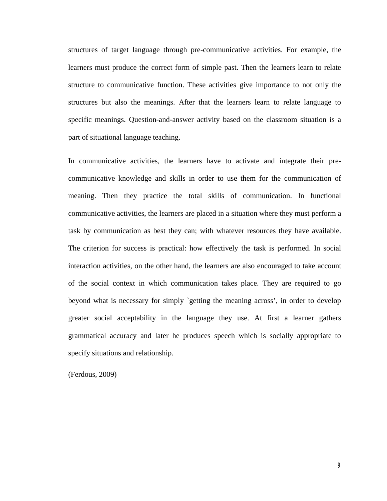structures of target language through pre-communicative activities. For example, the learners must produce the correct form of simple past. Then the learners learn to relate structure to communicative function. These activities give importance to not only the structures but also the meanings. After that the learners learn to relate language to specific meanings. Question-and-answer activity based on the classroom situation is a part of situational language teaching.

In communicative activities, the learners have to activate and integrate their precommunicative knowledge and skills in order to use them for the communication of meaning. Then they practice the total skills of communication. In functional communicative activities, the learners are placed in a situation where they must perform a task by communication as best they can; with whatever resources they have available. The criterion for success is practical: how effectively the task is performed. In social interaction activities, on the other hand, the learners are also encouraged to take account of the social context in which communication takes place. They are required to go beyond what is necessary for simply `getting the meaning across', in order to develop greater social acceptability in the language they use. At first a learner gathers grammatical accuracy and later he produces speech which is socially appropriate to specify situations and relationship.

(Ferdous, 2009)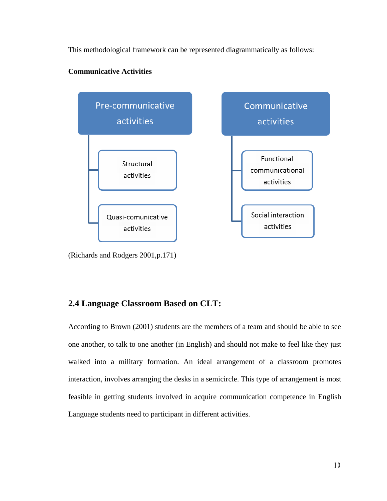This methodological framework can be represented diagrammatically as follows:



## **Communicative Activities**

(Richards and Rodgers 2001,p.171)

# **2.4 Language Classroom Based on CLT:**

According to Brown (2001) students are the members of a team and should be able to see one another, to talk to one another (in English) and should not make to feel like they just walked into a military formation. An ideal arrangement of a classroom promotes interaction, involves arranging the desks in a semicircle. This type of arrangement is most feasible in getting students involved in acquire communication competence in English Language students need to participant in different activities.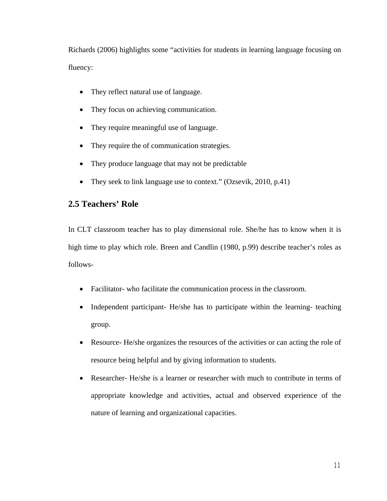Richards (2006) highlights some "activities for students in learning language focusing on fluency:

- They reflect natural use of language.
- They focus on achieving communication.
- They require meaningful use of language.
- They require the of communication strategies.
- They produce language that may not be predictable
- They seek to link language use to context." (Ozsevik, 2010, p.41)

# **2.5 Teachers' Role**

In CLT classroom teacher has to play dimensional role. She/he has to know when it is high time to play which role. Breen and Candlin (1980, p.99) describe teacher's roles as follows-

- Facilitator- who facilitate the communication process in the classroom.
- Independent participant- He/she has to participate within the learning- teaching group.
- Resource- He/she organizes the resources of the activities or can acting the role of resource being helpful and by giving information to students.
- Researcher- He/she is a learner or researcher with much to contribute in terms of appropriate knowledge and activities, actual and observed experience of the nature of learning and organizational capacities.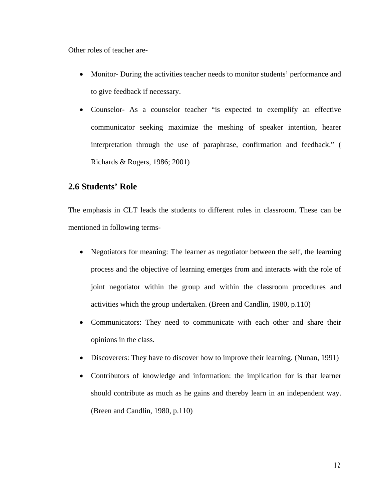Other roles of teacher are-

- Monitor- During the activities teacher needs to monitor students' performance and to give feedback if necessary.
- Counselor- As a counselor teacher "is expected to exemplify an effective communicator seeking maximize the meshing of speaker intention, hearer interpretation through the use of paraphrase, confirmation and feedback." ( Richards & Rogers, 1986; 2001)

# **2.6 Students' Role**

The emphasis in CLT leads the students to different roles in classroom. These can be mentioned in following terms-

- Negotiators for meaning: The learner as negotiator between the self, the learning process and the objective of learning emerges from and interacts with the role of joint negotiator within the group and within the classroom procedures and activities which the group undertaken. (Breen and Candlin, 1980, p.110)
- Communicators: They need to communicate with each other and share their opinions in the class.
- Discoverers: They have to discover how to improve their learning. (Nunan, 1991)
- Contributors of knowledge and information: the implication for is that learner should contribute as much as he gains and thereby learn in an independent way. (Breen and Candlin, 1980, p.110)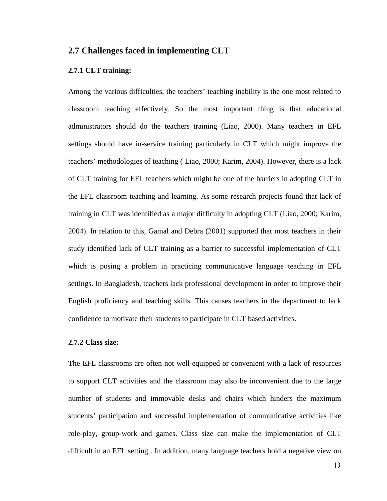#### **2.7 Challenges faced in implementing CLT**

#### **2.7.1 CLT training:**

Among the various difficulties, the teachers' teaching inability is the one most related to classroom teaching effectively. So the most important thing is that educational administrators should do the teachers training (Liao, 2000). Many teachers in EFL settings should have in-service training particularly in CLT which might improve the teachers' methodologies of teaching ( Liao, 2000; Karim, 2004). However, there is a lack of CLT training for EFL teachers which might be one of the barriers in adopting CLT in the EFL classroom teaching and learning. As some research projects found that lack of training in CLT was identified as a major difficulty in adopting CLT (Liao, 2000; Karim, 2004). In relation to this, Gamal and Debra (2001) supported that most teachers in their study identified lack of CLT training as a barrier to successful implementation of CLT which is posing a problem in practicing communicative language teaching in EFL settings. In Bangladesh, teachers lack professional development in order to improve their English proficiency and teaching skills. This causes teachers in the department to lack confidence to motivate their students to participate in CLT based activities.

#### **2.7.2 Class size:**

The EFL classrooms are often not well-equipped or convenient with a lack of resources to support CLT activities and the classroom may also be inconvenient due to the large number of students and immovable desks and chairs which hinders the maximum students' participation and successful implementation of communicative activities like role-play, group-work and games. Class size can make the implementation of CLT difficult in an EFL setting . In addition, many language teachers hold a negative view on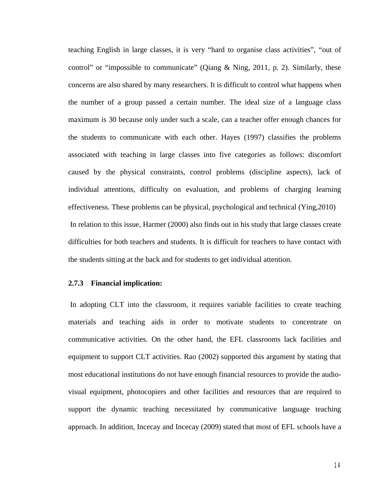teaching English in large classes, it is very "hard to organise class activities", "out of control" or "impossible to communicate" (Qiang  $\&$  Ning, 2011, p. 2). Similarly, these concerns are also shared by many researchers. It is difficult to control what happens when the number of a group passed a certain number. The ideal size of a language class maximum is 30 because only under such a scale, can a teacher offer enough chances for the students to communicate with each other. Hayes (1997) classifies the problems associated with teaching in large classes into five categories as follows: discomfort caused by the physical constraints, control problems (discipline aspects), lack of individual attentions, difficulty on evaluation, and problems of charging learning effectiveness. These problems can be physical, psychological and technical (Ying,2010) In relation to this issue, Harmer (2000) also finds out in his study that large classes create difficulties for both teachers and students. It is difficult for teachers to have contact with the students sitting at the back and for students to get individual attention.

#### **2.7.3 Financial implication:**

In adopting CLT into the classroom, it requires variable facilities to create teaching materials and teaching aids in order to motivate students to concentrate on communicative activities. On the other hand, the EFL classrooms lack facilities and equipment to support CLT activities. Rao (2002) supported this argument by stating that most educational institutions do not have enough financial resources to provide the audiovisual equipment, photocopiers and other facilities and resources that are required to support the dynamic teaching necessitated by communicative language teaching approach. In addition, Incecay and Incecay (2009) stated that most of EFL schools have a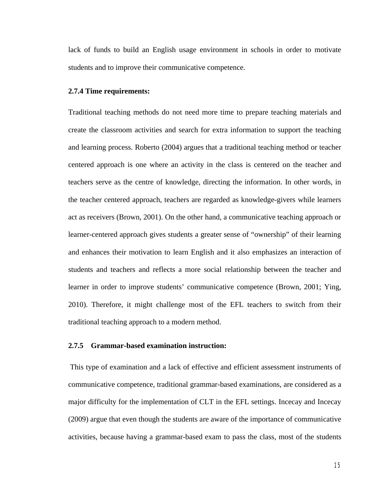lack of funds to build an English usage environment in schools in order to motivate students and to improve their communicative competence.

#### **2.7.4 Time requirements:**

Traditional teaching methods do not need more time to prepare teaching materials and create the classroom activities and search for extra information to support the teaching and learning process. Roberto (2004) argues that a traditional teaching method or teacher centered approach is one where an activity in the class is centered on the teacher and teachers serve as the centre of knowledge, directing the information. In other words, in the teacher centered approach, teachers are regarded as knowledge-givers while learners act as receivers (Brown, 2001). On the other hand, a communicative teaching approach or learner-centered approach gives students a greater sense of "ownership" of their learning and enhances their motivation to learn English and it also emphasizes an interaction of students and teachers and reflects a more social relationship between the teacher and learner in order to improve students' communicative competence (Brown, 2001; Ying, 2010). Therefore, it might challenge most of the EFL teachers to switch from their traditional teaching approach to a modern method.

#### **2.7.5 Grammar-based examination instruction:**

This type of examination and a lack of effective and efficient assessment instruments of communicative competence, traditional grammar-based examinations, are considered as a major difficulty for the implementation of CLT in the EFL settings. Incecay and Incecay (2009) argue that even though the students are aware of the importance of communicative activities, because having a grammar-based exam to pass the class, most of the students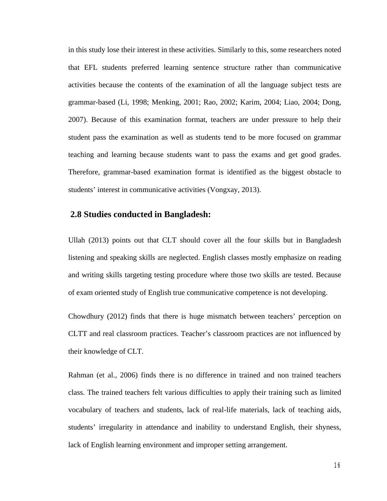in this study lose their interest in these activities. Similarly to this, some researchers noted that EFL students preferred learning sentence structure rather than communicative activities because the contents of the examination of all the language subject tests are grammar-based (Li, 1998; Menking, 2001; Rao, 2002; Karim, 2004; Liao, 2004; Dong, 2007). Because of this examination format, teachers are under pressure to help their student pass the examination as well as students tend to be more focused on grammar teaching and learning because students want to pass the exams and get good grades. Therefore, grammar-based examination format is identified as the biggest obstacle to students' interest in communicative activities (Vongxay, 2013).

### **2.8 Studies conducted in Bangladesh:**

Ullah (2013) points out that CLT should cover all the four skills but in Bangladesh listening and speaking skills are neglected. English classes mostly emphasize on reading and writing skills targeting testing procedure where those two skills are tested. Because of exam oriented study of English true communicative competence is not developing.

Chowdhury (2012) finds that there is huge mismatch between teachers' perception on CLTT and real classroom practices. Teacher's classroom practices are not influenced by their knowledge of CLT.

Rahman (et al., 2006) finds there is no difference in trained and non trained teachers class. The trained teachers felt various difficulties to apply their training such as limited vocabulary of teachers and students, lack of real-life materials, lack of teaching aids, students' irregularity in attendance and inability to understand English, their shyness, lack of English learning environment and improper setting arrangement.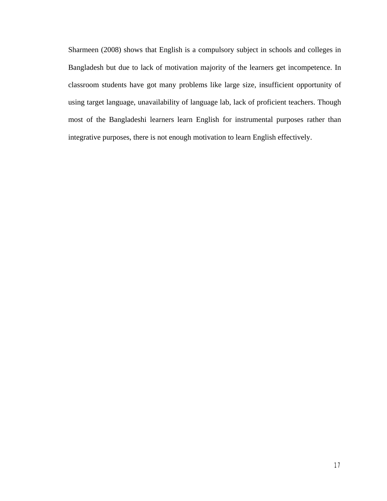Sharmeen (2008) shows that English is a compulsory subject in schools and colleges in Bangladesh but due to lack of motivation majority of the learners get incompetence. In classroom students have got many problems like large size, insufficient opportunity of using target language, unavailability of language lab, lack of proficient teachers. Though most of the Bangladeshi learners learn English for instrumental purposes rather than integrative purposes, there is not enough motivation to learn English effectively.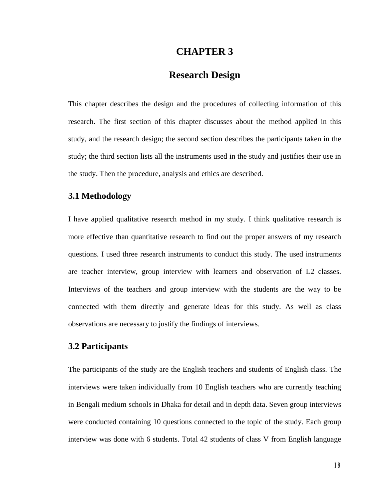# **CHAPTER 3**

# **Research Design**

This chapter describes the design and the procedures of collecting information of this research. The first section of this chapter discusses about the method applied in this study, and the research design; the second section describes the participants taken in the study; the third section lists all the instruments used in the study and justifies their use in the study. Then the procedure, analysis and ethics are described.

## **3.1 Methodology**

I have applied qualitative research method in my study. I think qualitative research is more effective than quantitative research to find out the proper answers of my research questions. I used three research instruments to conduct this study. The used instruments are teacher interview, group interview with learners and observation of L2 classes. Interviews of the teachers and group interview with the students are the way to be connected with them directly and generate ideas for this study. As well as class observations are necessary to justify the findings of interviews.

## **3.2 Participants**

The participants of the study are the English teachers and students of English class. The interviews were taken individually from 10 English teachers who are currently teaching in Bengali medium schools in Dhaka for detail and in depth data. Seven group interviews were conducted containing 10 questions connected to the topic of the study. Each group interview was done with 6 students. Total 42 students of class V from English language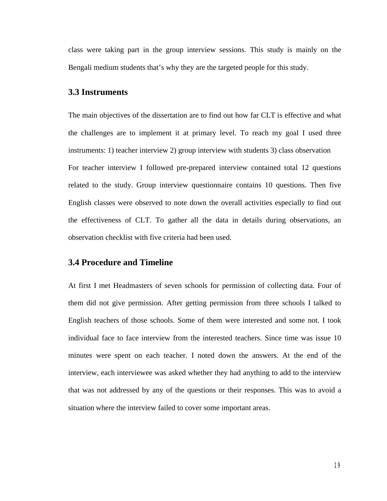class were taking part in the group interview sessions. This study is mainly on the Bengali medium students that's why they are the targeted people for this study.

## **3.3 Instruments**

The main objectives of the dissertation are to find out how far CLT is effective and what the challenges are to implement it at primary level. To reach my goal I used three instruments: 1) teacher interview 2) group interview with students 3) class observation For teacher interview I followed pre-prepared interview contained total 12 questions related to the study. Group interview questionnaire contains 10 questions. Then five English classes were observed to note down the overall activities especially to find out the effectiveness of CLT. To gather all the data in details during observations, an observation checklist with five criteria had been used.

## **3.4 Procedure and Timeline**

At first I met Headmasters of seven schools for permission of collecting data. Four of them did not give permission. After getting permission from three schools I talked to English teachers of those schools. Some of them were interested and some not. I took individual face to face interview from the interested teachers. Since time was issue 10 minutes were spent on each teacher. I noted down the answers. At the end of the interview, each interviewee was asked whether they had anything to add to the interview that was not addressed by any of the questions or their responses. This was to avoid a situation where the interview failed to cover some important areas.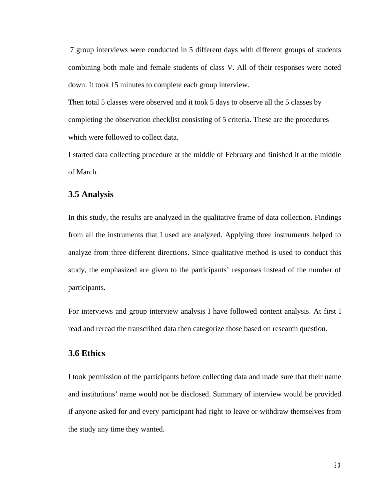7 group interviews were conducted in 5 different days with different groups of students combining both male and female students of class V. All of their responses were noted down. It took 15 minutes to complete each group interview.

Then total 5 classes were observed and it took 5 days to observe all the 5 classes by completing the observation checklist consisting of 5 criteria. These are the procedures which were followed to collect data.

I started data collecting procedure at the middle of February and finished it at the middle of March.

## **3.5 Analysis**

In this study, the results are analyzed in the qualitative frame of data collection. Findings from all the instruments that I used are analyzed. Applying three instruments helped to analyze from three different directions. Since qualitative method is used to conduct this study, the emphasized are given to the participants' responses instead of the number of participants.

For interviews and group interview analysis I have followed content analysis. At first I read and reread the transcribed data then categorize those based on research question.

## **3.6 Ethics**

I took permission of the participants before collecting data and made sure that their name and institutions' name would not be disclosed. Summary of interview would be provided if anyone asked for and every participant had right to leave or withdraw themselves from the study any time they wanted.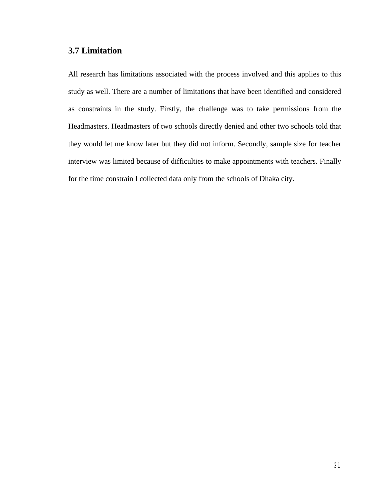# **3.7 Limitation**

All research has limitations associated with the process involved and this applies to this study as well. There are a number of limitations that have been identified and considered as constraints in the study. Firstly, the challenge was to take permissions from the Headmasters. Headmasters of two schools directly denied and other two schools told that they would let me know later but they did not inform. Secondly, sample size for teacher interview was limited because of difficulties to make appointments with teachers. Finally for the time constrain I collected data only from the schools of Dhaka city.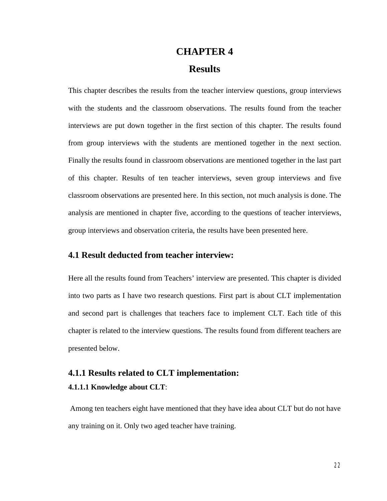# **CHAPTER 4 Results**

This chapter describes the results from the teacher interview questions, group interviews with the students and the classroom observations. The results found from the teacher interviews are put down together in the first section of this chapter. The results found from group interviews with the students are mentioned together in the next section. Finally the results found in classroom observations are mentioned together in the last part of this chapter. Results of ten teacher interviews, seven group interviews and five classroom observations are presented here. In this section, not much analysis is done. The analysis are mentioned in chapter five, according to the questions of teacher interviews, group interviews and observation criteria, the results have been presented here.

# **4.1 Result deducted from teacher interview:**

Here all the results found from Teachers' interview are presented. This chapter is divided into two parts as I have two research questions. First part is about CLT implementation and second part is challenges that teachers face to implement CLT. Each title of this chapter is related to the interview questions. The results found from different teachers are presented below.

# **4.1.1 Results related to CLT implementation: 4.1.1.1 Knowledge about CLT**:

Among ten teachers eight have mentioned that they have idea about CLT but do not have any training on it. Only two aged teacher have training.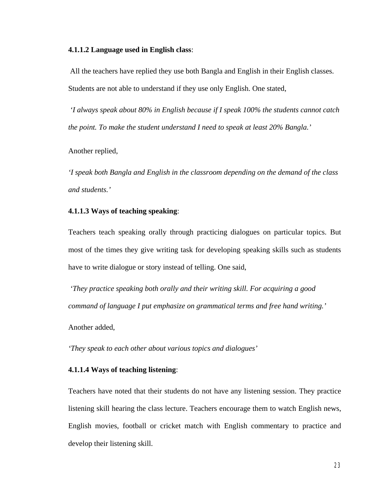#### **4.1.1.2 Language used in English class**:

All the teachers have replied they use both Bangla and English in their English classes. Students are not able to understand if they use only English. One stated,

*'I always speak about 80% in English because if I speak 100% the students cannot catch the point. To make the student understand I need to speak at least 20% Bangla.'*

Another replied,

*'I speak both Bangla and English in the classroom depending on the demand of the class and students.'*

#### **4.1.1.3 Ways of teaching speaking**:

Teachers teach speaking orally through practicing dialogues on particular topics. But most of the times they give writing task for developing speaking skills such as students have to write dialogue or story instead of telling. One said,

*'They practice speaking both orally and their writing skill. For acquiring a good command of language I put emphasize on grammatical terms and free hand writing.'*

Another added,

*'They speak to each other about various topics and dialogues'*

#### **4.1.1.4 Ways of teaching listening**:

Teachers have noted that their students do not have any listening session. They practice listening skill hearing the class lecture. Teachers encourage them to watch English news, English movies, football or cricket match with English commentary to practice and develop their listening skill.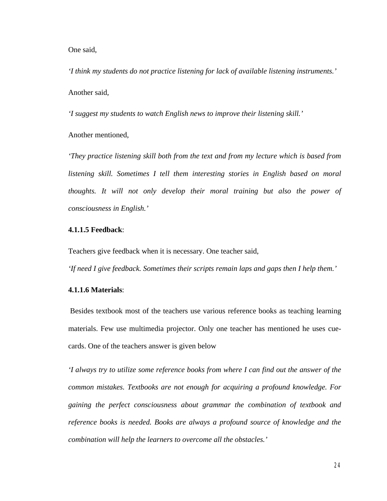One said,

*'I think my students do not practice listening for lack of available listening instruments.'* Another said*,*

*'I suggest my students to watch English news to improve their listening skill.'*

Another mentioned,

*'They practice listening skill both from the text and from my lecture which is based from listening skill. Sometimes I tell them interesting stories in English based on moral thoughts. It will not only develop their moral training but also the power of consciousness in English.'*

## **4.1.1.5 Feedback**:

Teachers give feedback when it is necessary. One teacher said,

*'If need I give feedback. Sometimes their scripts remain laps and gaps then I help them.'* 

#### **4.1.1.6 Materials**:

Besides textbook most of the teachers use various reference books as teaching learning materials. Few use multimedia projector. Only one teacher has mentioned he uses cuecards. One of the teachers answer is given below

*'I always try to utilize some reference books from where I can find out the answer of the common mistakes. Textbooks are not enough for acquiring a profound knowledge. For gaining the perfect consciousness about grammar the combination of textbook and*  reference books is needed. Books are always a profound source of knowledge and the *combination will help the learners to overcome all the obstacles.'*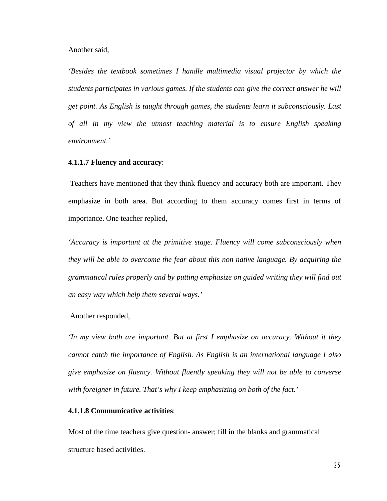Another said,

*'Besides the textbook sometimes I handle multimedia visual projector by which the students participates in various games. If the students can give the correct answer he will get point. As English is taught through games, the students learn it subconsciously. Last of all in my view the utmost teaching material is to ensure English speaking environment.'* 

#### **4.1.1.7 Fluency and accuracy**:

Teachers have mentioned that they think fluency and accuracy both are important. They emphasize in both area. But according to them accuracy comes first in terms of importance. One teacher replied,

*'Accuracy is important at the primitive stage. Fluency will come subconsciously when they will be able to overcome the fear about this non native language. By acquiring the grammatical rules properly and by putting emphasize on guided writing they will find out an easy way which help them several ways.'*

#### Another responded,

*'In my view both are important. But at first I emphasize on accuracy. Without it they cannot catch the importance of English. As English is an international language I also give emphasize on fluency. Without fluently speaking they will not be able to converse with foreigner in future. That's why I keep emphasizing on both of the fact.'*

#### **4.1.1.8 Communicative activities**:

Most of the time teachers give question- answer; fill in the blanks and grammatical structure based activities.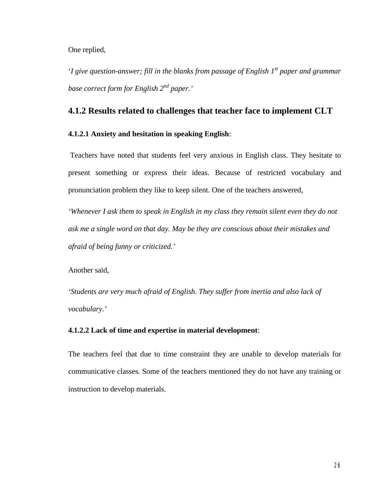One replied,

'*I give question-answer; fill in the blanks from passage of English 1st paper and grammar base correct form for English 2nd paper.'*

# **4.1.2 Results related to challenges that teacher face to implement CLT**

#### **4.1.2.1 Anxiety and hesitation in speaking English**:

Teachers have noted that students feel very anxious in English class. They hesitate to present something or express their ideas. Because of restricted vocabulary and pronunciation problem they like to keep silent. One of the teachers answered,

*'Whenever I ask them to speak in English in my class they remain silent even they do not ask me a single word on that day. May be they are conscious about their mistakes and afraid of being funny or criticized.'*

Another said,

*'Students are very much afraid of English. They suffer from inertia and also lack of vocabulary.'*

#### **4.1.2.2 Lack of time and expertise in material development**:

The teachers feel that due to time constraint they are unable to develop materials for communicative classes. Some of the teachers mentioned they do not have any training or instruction to develop materials.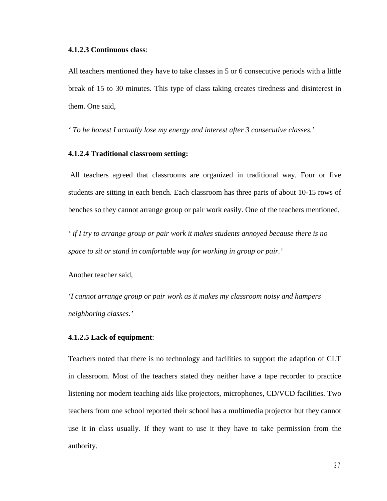#### **4.1.2.3 Continuous class**:

All teachers mentioned they have to take classes in 5 or 6 consecutive periods with a little break of 15 to 30 minutes. This type of class taking creates tiredness and disinterest in them. One said,

*' To be honest I actually lose my energy and interest after 3 consecutive classes.'*

#### **4.1.2.4 Traditional classroom setting:**

All teachers agreed that classrooms are organized in traditional way. Four or five students are sitting in each bench. Each classroom has three parts of about 10-15 rows of benches so they cannot arrange group or pair work easily. One of the teachers mentioned,

*' if I try to arrange group or pair work it makes students annoyed because there is no space to sit or stand in comfortable way for working in group or pair.'*

Another teacher said,

*'I cannot arrange group or pair work as it makes my classroom noisy and hampers neighboring classes.'*

#### **4.1.2.5 Lack of equipment**:

Teachers noted that there is no technology and facilities to support the adaption of CLT in classroom. Most of the teachers stated they neither have a tape recorder to practice listening nor modern teaching aids like projectors, microphones, CD/VCD facilities. Two teachers from one school reported their school has a multimedia projector but they cannot use it in class usually. If they want to use it they have to take permission from the authority.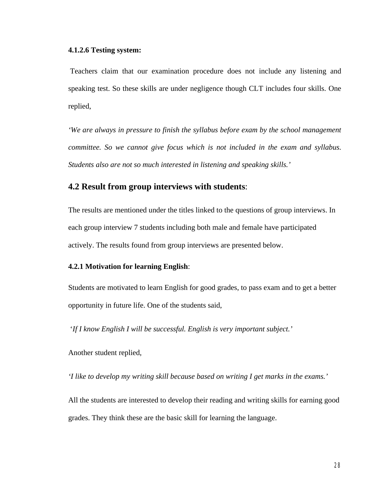#### **4.1.2.6 Testing system:**

Teachers claim that our examination procedure does not include any listening and speaking test. So these skills are under negligence though CLT includes four skills. One replied,

*'We are always in pressure to finish the syllabus before exam by the school management committee. So we cannot give focus which is not included in the exam and syllabus. Students also are not so much interested in listening and speaking skills.'*

#### **4.2 Result from group interviews with students**:

The results are mentioned under the titles linked to the questions of group interviews. In each group interview 7 students including both male and female have participated actively. The results found from group interviews are presented below.

#### **4.2.1 Motivation for learning English**:

Students are motivated to learn English for good grades, to pass exam and to get a better opportunity in future life. One of the students said,

'*If I know English I will be successful. English is very important subject.'*

Another student replied,

*'I like to develop my writing skill because based on writing I get marks in the exams.'*

All the students are interested to develop their reading and writing skills for earning good grades. They think these are the basic skill for learning the language.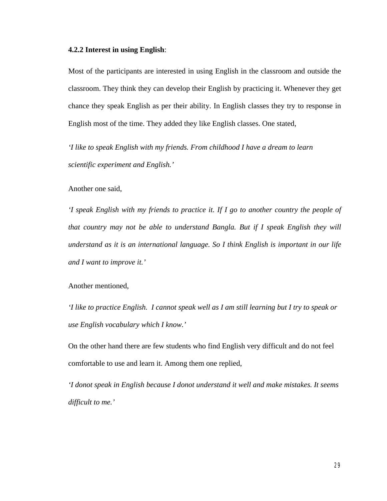#### **4.2.2 Interest in using English**:

Most of the participants are interested in using English in the classroom and outside the classroom. They think they can develop their English by practicing it. Whenever they get chance they speak English as per their ability. In English classes they try to response in English most of the time. They added they like English classes. One stated,

*'I like to speak English with my friends. From childhood I have a dream to learn scientific experiment and English.'*

Another one said,

*'I speak English with my friends to practice it. If I go to another country the people of that country may not be able to understand Bangla. But if I speak English they will understand as it is an international language. So I think English is important in our life and I want to improve it.'*

Another mentioned,

*'I like to practice English. I cannot speak well as I am still learning but I try to speak or use English vocabulary which I know.'*

On the other hand there are few students who find English very difficult and do not feel comfortable to use and learn it. Among them one replied,

*'I donot speak in English because I donot understand it well and make mistakes. It seems difficult to me.'*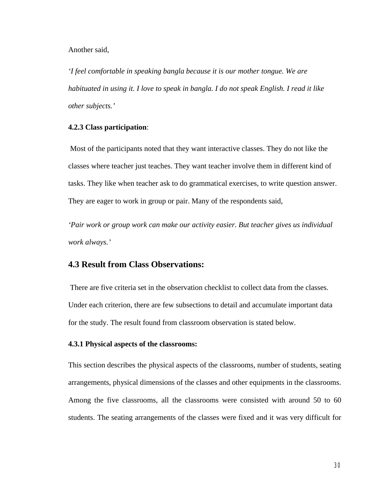Another said,

*'I feel comfortable in speaking bangla because it is our mother tongue. We are habituated in using it. I love to speak in bangla. I do not speak English. I read it like other subjects.'*

#### **4.2.3 Class participation**:

Most of the participants noted that they want interactive classes. They do not like the classes where teacher just teaches. They want teacher involve them in different kind of tasks. They like when teacher ask to do grammatical exercises, to write question answer. They are eager to work in group or pair. Many of the respondents said,

*'Pair work or group work can make our activity easier. But teacher gives us individual work always.'*

# **4.3 Result from Class Observations:**

There are five criteria set in the observation checklist to collect data from the classes. Under each criterion, there are few subsections to detail and accumulate important data for the study. The result found from classroom observation is stated below.

#### **4.3.1 Physical aspects of the classrooms:**

This section describes the physical aspects of the classrooms, number of students, seating arrangements, physical dimensions of the classes and other equipments in the classrooms. Among the five classrooms, all the classrooms were consisted with around 50 to 60 students. The seating arrangements of the classes were fixed and it was very difficult for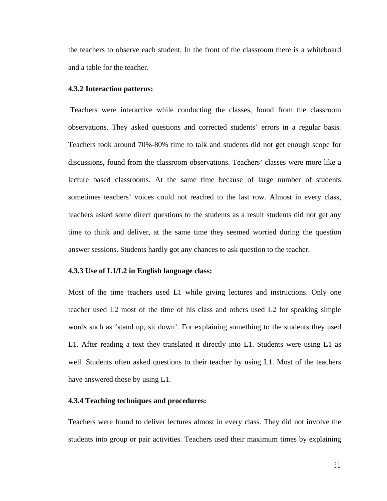the teachers to observe each student. In the front of the classroom there is a whiteboard and a table for the teacher.

#### **4.3.2 Interaction patterns:**

Teachers were interactive while conducting the classes, found from the classroom observations. They asked questions and corrected students' errors in a regular basis. Teachers took around 70%-80% time to talk and students did not get enough scope for discussions, found from the classroom observations. Teachers' classes were more like a lecture based classrooms. At the same time because of large number of students sometimes teachers' voices could not reached to the last row. Almost in every class, teachers asked some direct questions to the students as a result students did not get any time to think and deliver, at the same time they seemed worried during the question answer sessions. Students hardly got any chances to ask question to the teacher.

#### **4.3.3 Use of L1/L2 in English language class:**

Most of the time teachers used L1 while giving lectures and instructions. Only one teacher used L2 most of the time of his class and others used L2 for speaking simple words such as 'stand up, sit down'. For explaining something to the students they used L1. After reading a text they translated it directly into L1. Students were using L1 as well. Students often asked questions to their teacher by using L1. Most of the teachers have answered those by using L1.

#### **4.3.4 Teaching techniques and procedures:**

Teachers were found to deliver lectures almost in every class. They did not involve the students into group or pair activities. Teachers used their maximum times by explaining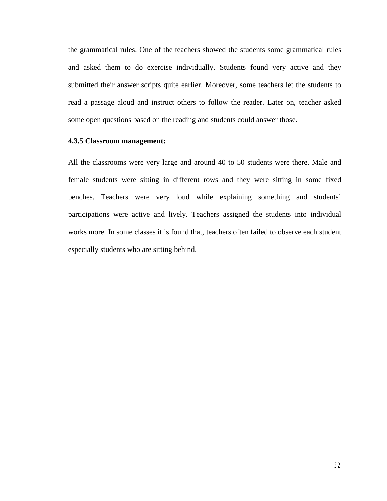the grammatical rules. One of the teachers showed the students some grammatical rules and asked them to do exercise individually. Students found very active and they submitted their answer scripts quite earlier. Moreover, some teachers let the students to read a passage aloud and instruct others to follow the reader. Later on, teacher asked some open questions based on the reading and students could answer those.

#### **4.3.5 Classroom management:**

All the classrooms were very large and around 40 to 50 students were there. Male and female students were sitting in different rows and they were sitting in some fixed benches. Teachers were very loud while explaining something and students' participations were active and lively. Teachers assigned the students into individual works more. In some classes it is found that, teachers often failed to observe each student especially students who are sitting behind.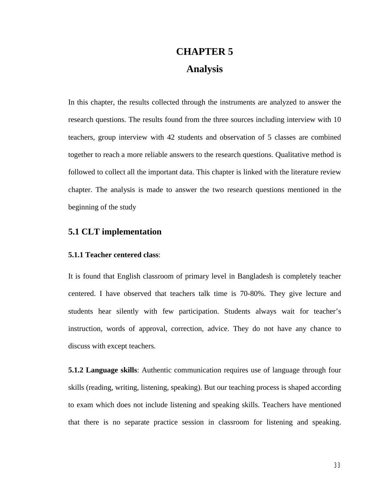# **CHAPTER 5 Analysis**

In this chapter, the results collected through the instruments are analyzed to answer the research questions. The results found from the three sources including interview with 10 teachers, group interview with 42 students and observation of 5 classes are combined together to reach a more reliable answers to the research questions. Qualitative method is followed to collect all the important data. This chapter is linked with the literature review chapter. The analysis is made to answer the two research questions mentioned in the beginning of the study

## **5.1 CLT implementation**

### **5.1.1 Teacher centered class**:

It is found that English classroom of primary level in Bangladesh is completely teacher centered. I have observed that teachers talk time is 70-80%. They give lecture and students hear silently with few participation. Students always wait for teacher's instruction, words of approval, correction, advice. They do not have any chance to discuss with except teachers.

**5.1.2 Language skills**: Authentic communication requires use of language through four skills (reading, writing, listening, speaking). But our teaching process is shaped according to exam which does not include listening and speaking skills. Teachers have mentioned that there is no separate practice session in classroom for listening and speaking.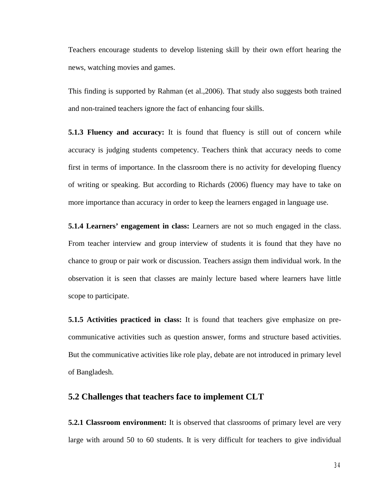Teachers encourage students to develop listening skill by their own effort hearing the news, watching movies and games.

This finding is supported by Rahman (et al.,2006). That study also suggests both trained and non-trained teachers ignore the fact of enhancing four skills.

**5.1.3 Fluency and accuracy:** It is found that fluency is still out of concern while accuracy is judging students competency. Teachers think that accuracy needs to come first in terms of importance. In the classroom there is no activity for developing fluency of writing or speaking. But according to Richards (2006) fluency may have to take on more importance than accuracy in order to keep the learners engaged in language use.

**5.1.4 Learners' engagement in class:** Learners are not so much engaged in the class. From teacher interview and group interview of students it is found that they have no chance to group or pair work or discussion. Teachers assign them individual work. In the observation it is seen that classes are mainly lecture based where learners have little scope to participate.

**5.1.5 Activities practiced in class:** It is found that teachers give emphasize on precommunicative activities such as question answer, forms and structure based activities. But the communicative activities like role play, debate are not introduced in primary level of Bangladesh.

# **5.2 Challenges that teachers face to implement CLT**

**5.2.1 Classroom environment:** It is observed that classrooms of primary level are very large with around 50 to 60 students. It is very difficult for teachers to give individual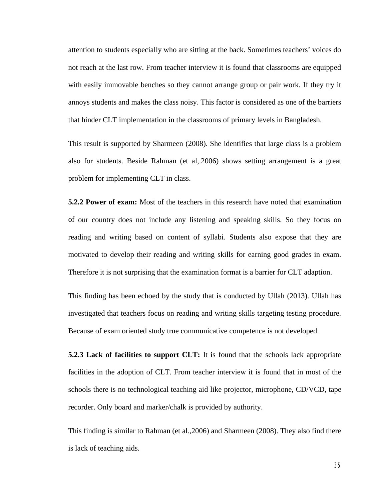attention to students especially who are sitting at the back. Sometimes teachers' voices do not reach at the last row. From teacher interview it is found that classrooms are equipped with easily immovable benches so they cannot arrange group or pair work. If they try it annoys students and makes the class noisy. This factor is considered as one of the barriers that hinder CLT implementation in the classrooms of primary levels in Bangladesh.

This result is supported by Sharmeen (2008). She identifies that large class is a problem also for students. Beside Rahman (et al,.2006) shows setting arrangement is a great problem for implementing CLT in class.

**5.2.2 Power of exam:** Most of the teachers in this research have noted that examination of our country does not include any listening and speaking skills. So they focus on reading and writing based on content of syllabi. Students also expose that they are motivated to develop their reading and writing skills for earning good grades in exam. Therefore it is not surprising that the examination format is a barrier for CLT adaption.

This finding has been echoed by the study that is conducted by Ullah (2013). Ullah has investigated that teachers focus on reading and writing skills targeting testing procedure. Because of exam oriented study true communicative competence is not developed.

**5.2.3 Lack of facilities to support CLT:** It is found that the schools lack appropriate facilities in the adoption of CLT. From teacher interview it is found that in most of the schools there is no technological teaching aid like projector, microphone, CD/VCD, tape recorder. Only board and marker/chalk is provided by authority.

This finding is similar to Rahman (et al.,2006) and Sharmeen (2008). They also find there is lack of teaching aids.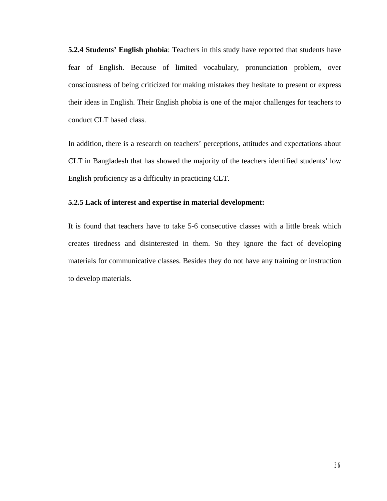**5.2.4 Students' English phobia**: Teachers in this study have reported that students have fear of English. Because of limited vocabulary, pronunciation problem, over consciousness of being criticized for making mistakes they hesitate to present or express their ideas in English. Their English phobia is one of the major challenges for teachers to conduct CLT based class.

In addition, there is a research on teachers' perceptions, attitudes and expectations about CLT in Bangladesh that has showed the majority of the teachers identified students' low English proficiency as a difficulty in practicing CLT.

## **5.2.5 Lack of interest and expertise in material development:**

It is found that teachers have to take 5-6 consecutive classes with a little break which creates tiredness and disinterested in them. So they ignore the fact of developing materials for communicative classes. Besides they do not have any training or instruction to develop materials.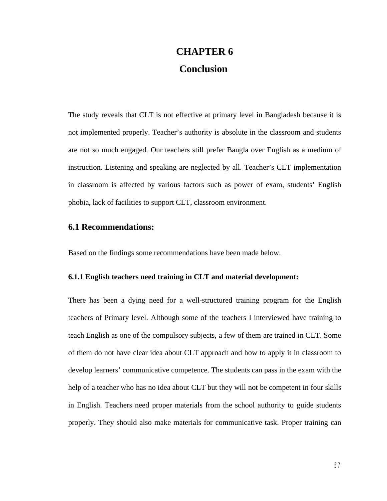# **CHAPTER 6 Conclusion**

The study reveals that CLT is not effective at primary level in Bangladesh because it is not implemented properly. Teacher's authority is absolute in the classroom and students are not so much engaged. Our teachers still prefer Bangla over English as a medium of instruction. Listening and speaking are neglected by all. Teacher's CLT implementation in classroom is affected by various factors such as power of exam, students' English phobia, lack of facilities to support CLT, classroom environment.

# **6.1 Recommendations:**

Based on the findings some recommendations have been made below.

#### **6.1.1 English teachers need training in CLT and material development:**

There has been a dying need for a well-structured training program for the English teachers of Primary level. Although some of the teachers I interviewed have training to teach English as one of the compulsory subjects, a few of them are trained in CLT. Some of them do not have clear idea about CLT approach and how to apply it in classroom to develop learners' communicative competence. The students can pass in the exam with the help of a teacher who has no idea about CLT but they will not be competent in four skills in English. Teachers need proper materials from the school authority to guide students properly. They should also make materials for communicative task. Proper training can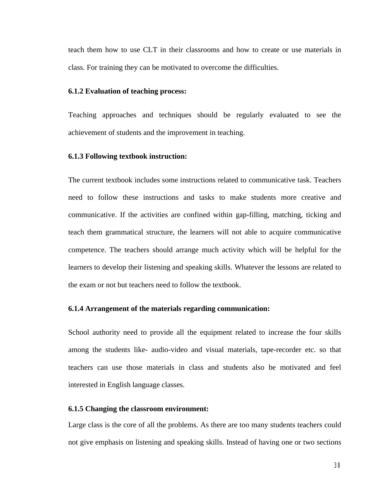teach them how to use CLT in their classrooms and how to create or use materials in class. For training they can be motivated to overcome the difficulties.

#### **6.1.2 Evaluation of teaching process:**

Teaching approaches and techniques should be regularly evaluated to see the achievement of students and the improvement in teaching.

#### **6.1.3 Following textbook instruction:**

The current textbook includes some instructions related to communicative task. Teachers need to follow these instructions and tasks to make students more creative and communicative. If the activities are confined within gap-filling, matching, ticking and teach them grammatical structure, the learners will not able to acquire communicative competence. The teachers should arrange much activity which will be helpful for the learners to develop their listening and speaking skills. Whatever the lessons are related to the exam or not but teachers need to follow the textbook.

#### **6.1.4 Arrangement of the materials regarding communication:**

School authority need to provide all the equipment related to increase the four skills among the students like- audio-video and visual materials, tape-recorder etc. so that teachers can use those materials in class and students also be motivated and feel interested in English language classes.

#### **6.1.5 Changing the classroom environment:**

Large class is the core of all the problems. As there are too many students teachers could not give emphasis on listening and speaking skills. Instead of having one or two sections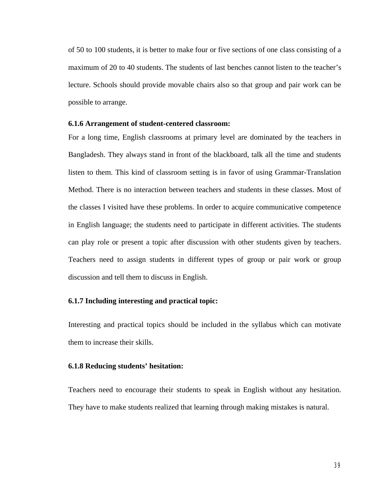of 50 to 100 students, it is better to make four or five sections of one class consisting of a maximum of 20 to 40 students. The students of last benches cannot listen to the teacher's lecture. Schools should provide movable chairs also so that group and pair work can be possible to arrange.

#### **6.1.6 Arrangement of student-centered classroom:**

For a long time, English classrooms at primary level are dominated by the teachers in Bangladesh. They always stand in front of the blackboard, talk all the time and students listen to them. This kind of classroom setting is in favor of using Grammar-Translation Method. There is no interaction between teachers and students in these classes. Most of the classes I visited have these problems. In order to acquire communicative competence in English language; the students need to participate in different activities. The students can play role or present a topic after discussion with other students given by teachers. Teachers need to assign students in different types of group or pair work or group discussion and tell them to discuss in English.

#### **6.1.7 Including interesting and practical topic:**

Interesting and practical topics should be included in the syllabus which can motivate them to increase their skills.

#### **6.1.8 Reducing students' hesitation:**

Teachers need to encourage their students to speak in English without any hesitation. They have to make students realized that learning through making mistakes is natural.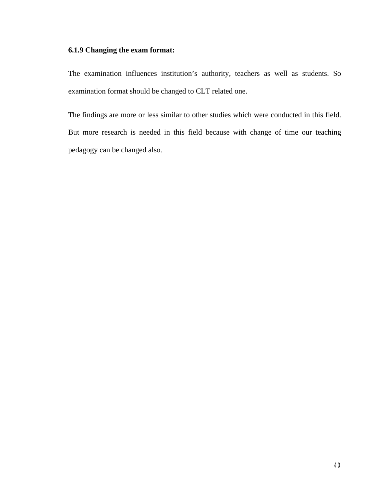# **6.1.9 Changing the exam format:**

The examination influences institution's authority, teachers as well as students. So examination format should be changed to CLT related one.

The findings are more or less similar to other studies which were conducted in this field. But more research is needed in this field because with change of time our teaching pedagogy can be changed also.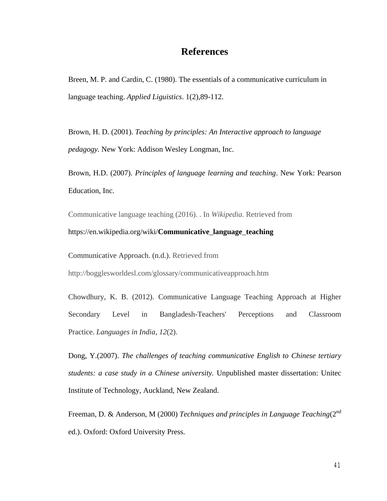# **References**

Breen, M. P. and Cardin, C. (1980). The essentials of a communicative curriculum in language teaching. *Applied Liguistics*. 1(2),89-112.

Brown, H. D. (2001). *Teaching by principles: An Interactive approach to language pedagogy.* New York: Addison Wesley Longman, Inc.

Brown, H.D. (2007). *Principles of language learning and teaching*. New York: Pearson Education, Inc.

Communicative language teaching (2016). . In *Wikipedia*. Retrieved from [https://en.wikipedia.org/wiki/](https://en.wikipedia.org/wiki/Communicative_language_teaching)**Communicative**\_**language**\_**teaching**

Communicative Approach. (n.d.). Retrieved from

http://bogglesworldesl.com/glossary/communicativeapproach.htm

Chowdhury, K. B. (2012). Communicative Language Teaching Approach at Higher Secondary Level in Bangladesh-Teachers' Perceptions and Classroom Practice. *Languages in India*, *12*(2).

Dong, Y.(2007). *The challenges of teaching communicative English to Chinese tertiary students: a case study in a Chinese university.* Unpublished master dissertation: Unitec Institute of Technology, Auckland, New Zealand.

Freeman, D. & Anderson, M (2000) *Techniques and principles in Language Teaching*(2nd ed.). Oxford: Oxford University Press.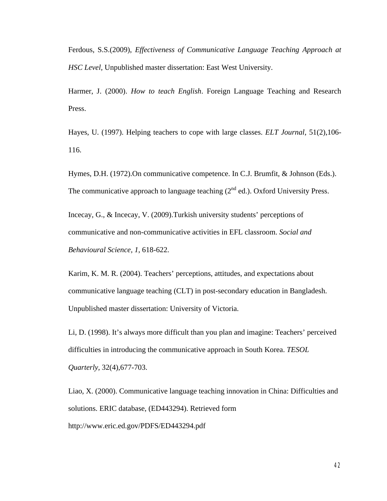Ferdous, S.S.(2009), *Effectiveness of Communicative Language Teaching Approach at HSC Level,* Unpublished master dissertation: East West University.

Harmer, J. (2000). *How to teach English*. Foreign Language Teaching and Research Press.

Hayes, U. (1997). Helping teachers to cope with large classes. *ELT Journal*, 51(2),106- 116.

Hymes, D.H. (1972).On communicative competence. In C.J. Brumfit, & Johnson (Eds.). The communicative approach to language teaching  $(2<sup>nd</sup>$  ed.). Oxford University Press.

Incecay, G., & Incecay, V. (2009).Turkish university students' perceptions of communicative and non-communicative activities in EFL classroom. *Social and Behavioural Science, 1*, 618-622.

Karim, K. M. R. (2004). Teachers' perceptions, attitudes, and expectations about communicative language teaching (CLT) in post-secondary education in Bangladesh. Unpublished master dissertation: University of Victoria.

Li, D. (1998). It's always more difficult than you plan and imagine: Teachers' perceived difficulties in introducing the communicative approach in South Korea. *TESOL Quarterly,* 32(4),677-703.

Liao, X. (2000). Communicative language teaching innovation in China: Difficulties and solutions. ERIC database, (ED443294). Retrieved form http://www.eric.ed.gov/PDFS/ED443294.pdf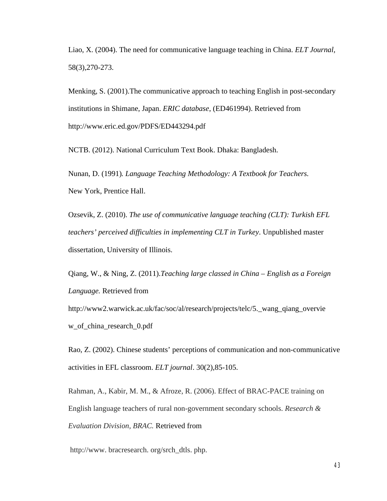Liao, X. (2004). The need for communicative language teaching in China. *ELT Journal,* 58(3),270-273.

Menking, S. (2001).The communicative approach to teaching English in post-secondary institutions in Shimane, Japan. *ERIC database*, (ED461994). Retrieved from http://www.eric.ed.gov/PDFS/ED443294.pdf

NCTB. (2012). National Curriculum Text Book. Dhaka: Bangladesh.

Nunan, D. (1991)*. Language Teaching Methodology: A Textbook for Teachers.* New York, Prentice Hall.

Ozsevik, Z. (2010). *The use of communicative language teaching (CLT): Turkish EFL teachers' perceived difficulties in implementing CLT in Turkey*. Unpublished master dissertation, University of Illinois.

Qiang, W., & Ning, Z. (2011).*Teaching large classed in China – English as a Foreign Language.* Retrieved from

http://www2.warwick.ac.uk/fac/soc/al/research/projects/telc/5.\_wang\_qiang\_overvie w\_of\_china\_research\_0.pdf

Rao, Z. (2002). Chinese students' perceptions of communication and non-communicative activities in EFL classroom. *ELT journal*. 30(2),85-105.

Rahman, A., Kabir, M. M., & Afroze, R. (2006). Effect of BRAC-PACE training on English language teachers of rural non-government secondary schools. *Research & Evaluation Division, BRAC.* Retrieved from

http://www. bracresearch. org/srch\_dtls. php.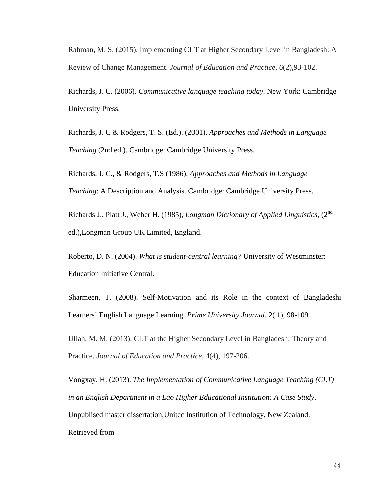Rahman, M. S. (2015). Implementing CLT at Higher Secondary Level in Bangladesh: A Review of Change Management. *Journal of Education and Practice*, *6*(2),93-102.

Richards, J. C. (2006). *Communicative language teaching today*. New York: Cambridge University Press.

Richards, J. C & Rodgers, T. S. (Ed.). (2001). *Approaches and Methods in Language Teaching* (2nd ed.). Cambridge: Cambridge University Press.

Richards, J. C., & Rodgers, T.S (1986). *Approaches and Methods in Language Teaching*: A Description and Analysis. Cambridge: Cambridge University Press.

Richards J., Platt J., Weber H. (1985), *Longman Dictionary of Applied Linguistics,* (2nd ed.),Longman Group UK Limited, England.

Roberto, D. N. (2004). *What is student-central learning?* University of Westminster: Education Initiative Central.

Sharmeen, T. (2008). Self-Motivation and its Role in the context of Bangladeshi Learners' English Language Learning*. Prime University Journal*, 2( 1), 98-109.

Ullah, M. M. (2013). CLT at the Higher Secondary Level in Bangladesh: Theory and Practice. *Journal of Education and Practice*, 4(4), 197-206.

Vongxay, H. (2013). *The Implementation of Communicative Language Teaching (CLT) in an English Department in a Lao Higher Educational Institution: A Case Study*. Unpublised master dissertation,Unitec Institution of Technology, New Zealand. Retrieved from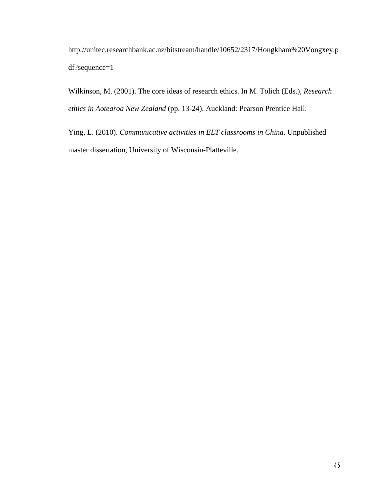[http://unitec.researchbank.ac.nz/bitstream/handle/10652/2317/Hongkham%20Vongxey.p](http://unitec.researchbank.ac.nz/bitstream/handle/10652/2317/Hongkham%20Vongxey.pdf?sequence=1) [df?sequence=1](http://unitec.researchbank.ac.nz/bitstream/handle/10652/2317/Hongkham%20Vongxey.pdf?sequence=1)

Wilkinson, M. (2001). The core ideas of research ethics. In M. Tolich (Eds.), *Research ethics in Aotearoa New Zealand* (pp. 13-24). Auckland: Pearson Prentice Hall.

Ying, L. (2010). *Communicative activities in ELT classrooms in China*. Unpublished master dissertation, University of Wisconsin-Platteville.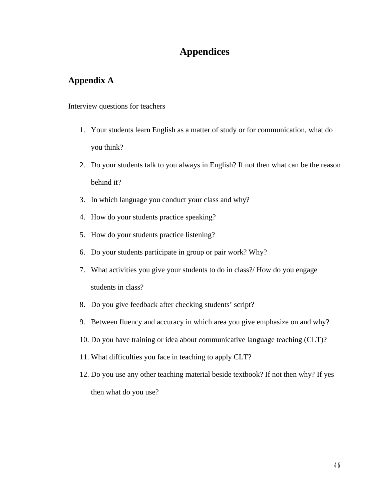# **Appendices**

# **Appendix A**

Interview questions for teachers

- 1. Your students learn English as a matter of study or for communication, what do you think?
- 2. Do your students talk to you always in English? If not then what can be the reason behind it?
- 3. In which language you conduct your class and why?
- 4. How do your students practice speaking?
- 5. How do your students practice listening?
- 6. Do your students participate in group or pair work? Why?
- 7. What activities you give your students to do in class?/ How do you engage students in class?
- 8. Do you give feedback after checking students' script?
- 9. Between fluency and accuracy in which area you give emphasize on and why?
- 10. Do you have training or idea about communicative language teaching (CLT)?
- 11. What difficulties you face in teaching to apply CLT?
- 12. Do you use any other teaching material beside textbook? If not then why? If yes then what do you use?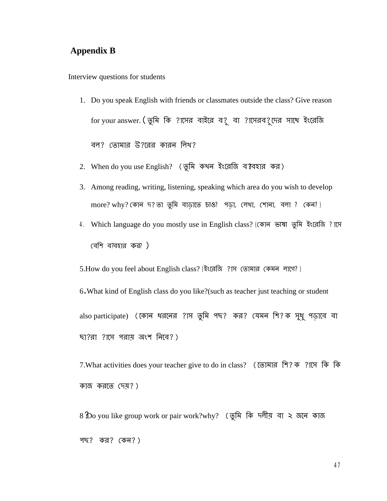# **Appendix B**

Interview questions for students

- 1. Do you speak English with friends or classmates outside the class? Give reason for your answer. (তুমি কি ?াসের বাইরে ব?ু বা ?াসেরব?ুদের সাথে ইংরেজি বল? তোমার উ?রের কারন লিখ?
- 2. When do you use English? (তুমি কথন ইংরেজি ব?াবহার কর)
- 3. Among reading, writing, listening, speaking which area do you wish to develop more? why? কোন দ?তা তুমি বাড়াতে চাও? পড়া, লেখা, শোনা, বলা ? কেন?)
- 4. Which language do you mostly use in English class? (কোন ভাষা তুমি ইংরেজি ?াসে েবিশ ব?বহার কর?)

5.How do you feel about English class? (ইংরেজি ?াস ভোমার কেমন লাগে?)

6.What kind of English class do you like?(such as teacher just teaching or student also participate) (কোন ধরনের ?াস তুমি পছ? কর? যেমন শি?ক সুধু পড়াবে বা ছা?রা ?ােস পরায় অংশ িনেব?)

7. What activities does your teacher give to do in class? (তোমার শি? ক ?াসে কি কি কাজ করতে দেয়?)

8 10o you like group work or pair work?why? (তুমি কি দলীয় বা ২ জনে কাজ পছ? কর? কেন?)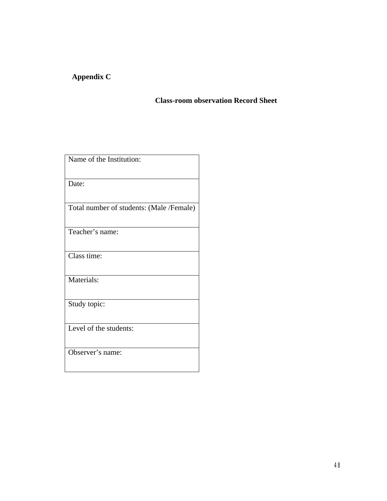# **Appendix C**

# **Class-room observation Record Sheet**

| Name of the Institution:                 |
|------------------------------------------|
| Date:                                    |
| Total number of students: (Male /Female) |
| Teacher's name:                          |
| Class time:                              |
| Materials:                               |
| Study topic:                             |
| Level of the students:                   |
| Observer's name:                         |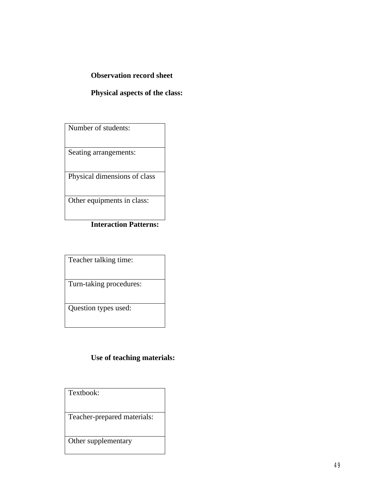# **Observation record sheet**

## **Physical aspects of the class:**

Number of students:

Seating arrangements:

Physical dimensions of class

Other equipments in class:

# **Interaction Patterns:**

Teacher talking time:

Turn-taking procedures:

Question types used:

# **Use of teaching materials:**

Textbook:

Teacher-prepared materials:

Other supplementary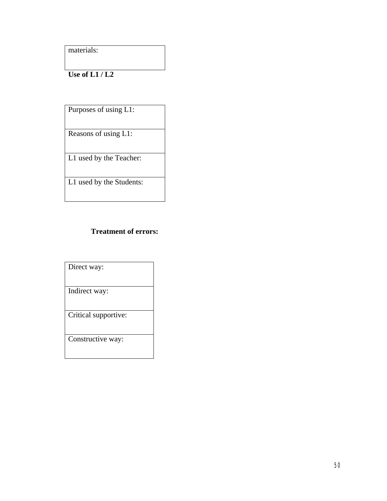materials:

**Use of L1 / L2**

Purposes of using L1:

Reasons of using L1:

L1 used by the Teacher:

L1 used by the Students:

# **Treatment of errors:**

Direct way:

Indirect way:

Critical supportive:

Constructive way: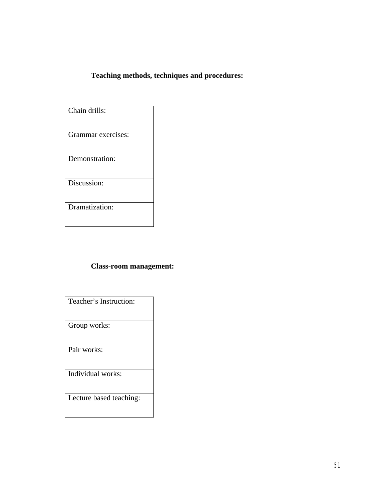# **Teaching methods, techniques and procedures:**

| Chain drills:      |
|--------------------|
| Grammar exercises: |
| Demonstration:     |
| Discussion:        |
| Dramatization:     |

# **Class-room management:**

|  | Teacher's Instruction: |
|--|------------------------|
|--|------------------------|

Group works:

Pair works:

Individual works:

Lecture based teaching: